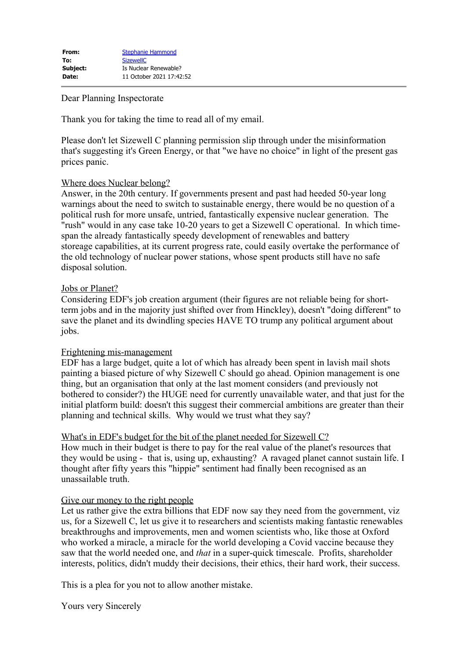# Dear Planning Inspectorate

Thank you for taking the time to read all of my email.

Please don't let Sizewell C planning permission slip through under the misinformation that's suggesting it's Green Energy, or that "we have no choice" in light of the present gas prices panic.

# Where does Nuclear belong?

Answer, in the 20th century. If governments present and past had heeded 50-year long warnings about the need to switch to sustainable energy, there would be no question of a political rush for more unsafe, untried, fantastically expensive nuclear generation. The "rush" would in any case take 10-20 years to get a Sizewell C operational. In which timespan the already fantastically speedy development of renewables and battery storeage capabilities, at its current progress rate, could easily overtake the performance of the old technology of nuclear power stations, whose spent products still have no safe disposal solution.

## Jobs or Planet?

Considering EDF's job creation argument (their figures are not reliable being for shortterm jobs and in the majority just shifted over from Hinckley), doesn't "doing different" to save the planet and its dwindling species HAVE TO trump any political argument about jobs.

# Frightening mis-management

EDF has a large budget, quite a lot of which has already been spent in lavish mail shots painting a biased picture of why Sizewell C should go ahead. Opinion management is one thing, but an organisation that only at the last moment considers (and previously not bothered to consider?) the HUGE need for currently unavailable water, and that just for the initial platform build: doesn't this suggest their commercial ambitions are greater than their planning and technical skills. Why would we trust what they say?

# What's in EDF's budget for the bit of the planet needed for Sizewell C?

How much in their budget is there to pay for the real value of the planet's resources that they would be using - that is, using up, exhausting? A ravaged planet cannot sustain life. I thought after fifty years this "hippie" sentiment had finally been recognised as an unassailable truth.

# Give our money to the right people

Let us rather give the extra billions that EDF now say they need from the government, viz us, for a Sizewell C, let us give it to researchers and scientists making fantastic renewables breakthroughs and improvements, men and women scientists who, like those at Oxford who worked a miracle, a miracle for the world developing a Covid vaccine because they saw that the world needed one, and *that* in a super-quick timescale. Profits, shareholder interests, politics, didn't muddy their decisions, their ethics, their hard work, their success.

This is a plea for you not to allow another mistake.

Yours very Sincerely